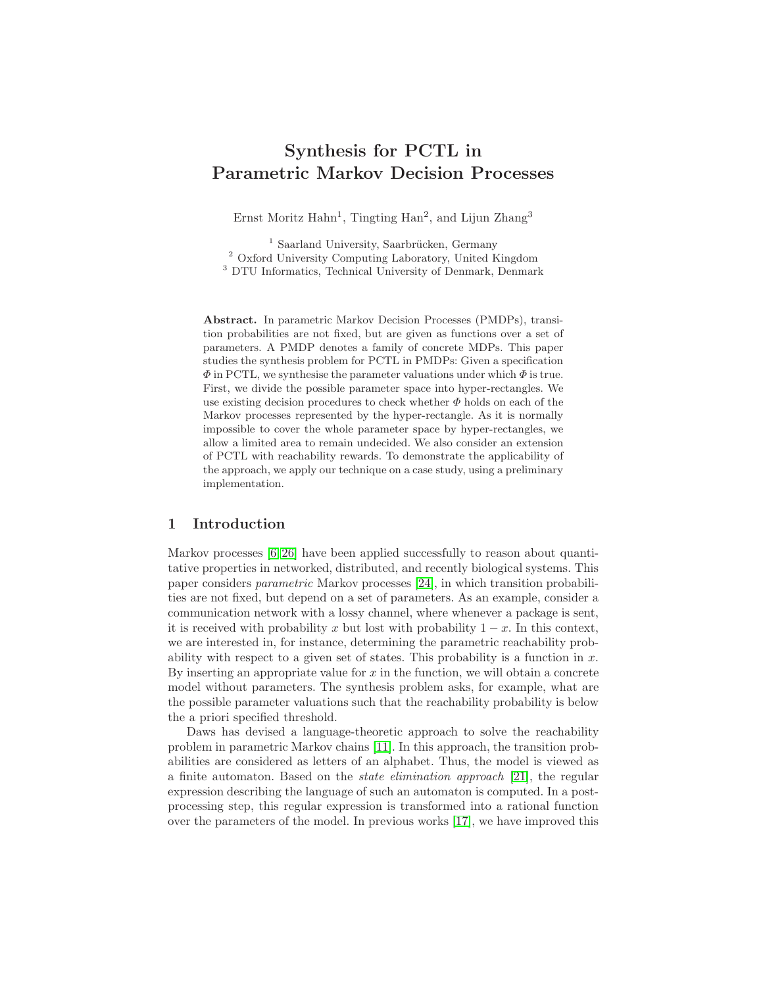# Synthesis for PCTL in Parametric Markov Decision Processes

Ernst Moritz  $\text{Hahn}^1$ , Tingting  $\text{Han}^2$ , and Lijun Zhang<sup>3</sup>

 $<sup>1</sup>$  Saarland University, Saarbrücken, Germany</sup> <sup>2</sup> Oxford University Computing Laboratory, United Kingdom <sup>3</sup> DTU Informatics, Technical University of Denmark, Denmark

Abstract. In parametric Markov Decision Processes (PMDPs), transition probabilities are not fixed, but are given as functions over a set of parameters. A PMDP denotes a family of concrete MDPs. This paper studies the synthesis problem for PCTL in PMDPs: Given a specification  $\Phi$  in PCTL, we synthesise the parameter valuations under which  $\Phi$  is true. First, we divide the possible parameter space into hyper-rectangles. We use existing decision procedures to check whether  $\Phi$  holds on each of the Markov processes represented by the hyper-rectangle. As it is normally impossible to cover the whole parameter space by hyper-rectangles, we allow a limited area to remain undecided. We also consider an extension of PCTL with reachability rewards. To demonstrate the applicability of the approach, we apply our technique on a case study, using a preliminary implementation.

## 1 Introduction

Markov processes [\[6,](#page-14-0) [26\]](#page-14-1) have been applied successfully to reason about quantitative properties in networked, distributed, and recently biological systems. This paper considers parametric Markov processes [\[24\]](#page-14-2), in which transition probabilities are not fixed, but depend on a set of parameters. As an example, consider a communication network with a lossy channel, where whenever a package is sent, it is received with probability x but lost with probability  $1 - x$ . In this context, we are interested in, for instance, determining the parametric reachability probability with respect to a given set of states. This probability is a function in  $x$ . By inserting an appropriate value for  $x$  in the function, we will obtain a concrete model without parameters. The synthesis problem asks, for example, what are the possible parameter valuations such that the reachability probability is below the a priori specified threshold.

Daws has devised a language-theoretic approach to solve the reachability problem in parametric Markov chains [\[11\]](#page-14-3). In this approach, the transition probabilities are considered as letters of an alphabet. Thus, the model is viewed as a finite automaton. Based on the state elimination approach [\[21\]](#page-14-4), the regular expression describing the language of such an automaton is computed. In a postprocessing step, this regular expression is transformed into a rational function over the parameters of the model. In previous works [\[17\]](#page-14-5), we have improved this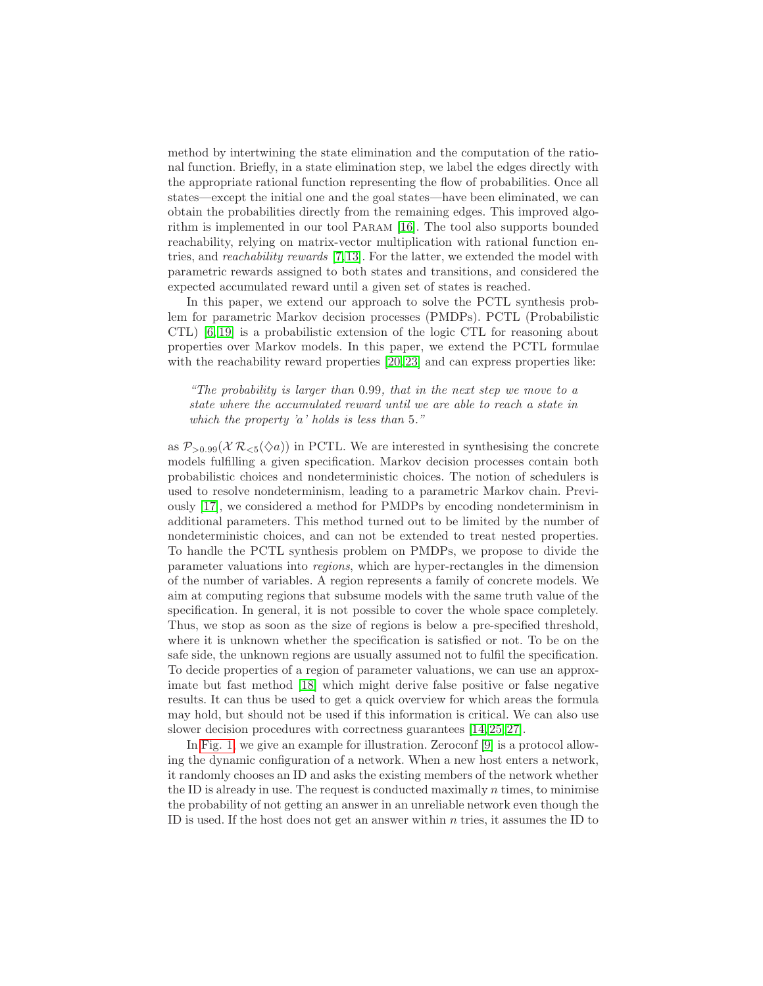method by intertwining the state elimination and the computation of the rational function. Briefly, in a state elimination step, we label the edges directly with the appropriate rational function representing the flow of probabilities. Once all states—except the initial one and the goal states—have been eliminated, we can obtain the probabilities directly from the remaining edges. This improved algorithm is implemented in our tool Param [\[16\]](#page-14-6). The tool also supports bounded reachability, relying on matrix-vector multiplication with rational function entries, and reachability rewards [\[7,](#page-14-7)[13\]](#page-14-8). For the latter, we extended the model with parametric rewards assigned to both states and transitions, and considered the expected accumulated reward until a given set of states is reached.

In this paper, we extend our approach to solve the PCTL synthesis problem for parametric Markov decision processes (PMDPs). PCTL (Probabilistic CTL) [\[6,](#page-14-0) [19\]](#page-14-9) is a probabilistic extension of the logic CTL for reasoning about properties over Markov models. In this paper, we extend the PCTL formulae with the reachability reward properties  $[20, 23]$  $[20, 23]$  and can express properties like:

"The probability is larger than 0.99, that in the next step we move to a state where the accumulated reward until we are able to reach a state in which the property 'a' holds is less than 5."

as  $P_{>0.99}(\mathcal{X} \mathcal{R}_{<5}(\diamondsuit a))$  in PCTL. We are interested in synthesising the concrete models fulfilling a given specification. Markov decision processes contain both probabilistic choices and nondeterministic choices. The notion of schedulers is used to resolve nondeterminism, leading to a parametric Markov chain. Previously [\[17\]](#page-14-5), we considered a method for PMDPs by encoding nondeterminism in additional parameters. This method turned out to be limited by the number of nondeterministic choices, and can not be extended to treat nested properties. To handle the PCTL synthesis problem on PMDPs, we propose to divide the parameter valuations into regions, which are hyper-rectangles in the dimension of the number of variables. A region represents a family of concrete models. We aim at computing regions that subsume models with the same truth value of the specification. In general, it is not possible to cover the whole space completely. Thus, we stop as soon as the size of regions is below a pre-specified threshold, where it is unknown whether the specification is satisfied or not. To be on the safe side, the unknown regions are usually assumed not to fulfil the specification. To decide properties of a region of parameter valuations, we can use an approximate but fast method [\[18\]](#page-14-12) which might derive false positive or false negative results. It can thus be used to get a quick overview for which areas the formula may hold, but should not be used if this information is critical. We can also use slower decision procedures with correctness guarantees [\[14,](#page-14-13) [25,](#page-14-14) [27\]](#page-14-15).

In [Fig. 1,](#page-2-0) we give an example for illustration. Zeroconf [\[9\]](#page-14-16) is a protocol allowing the dynamic configuration of a network. When a new host enters a network, it randomly chooses an ID and asks the existing members of the network whether the ID is already in use. The request is conducted maximally  $n$  times, to minimise the probability of not getting an answer in an unreliable network even though the ID is used. If the host does not get an answer within  $n$  tries, it assumes the ID to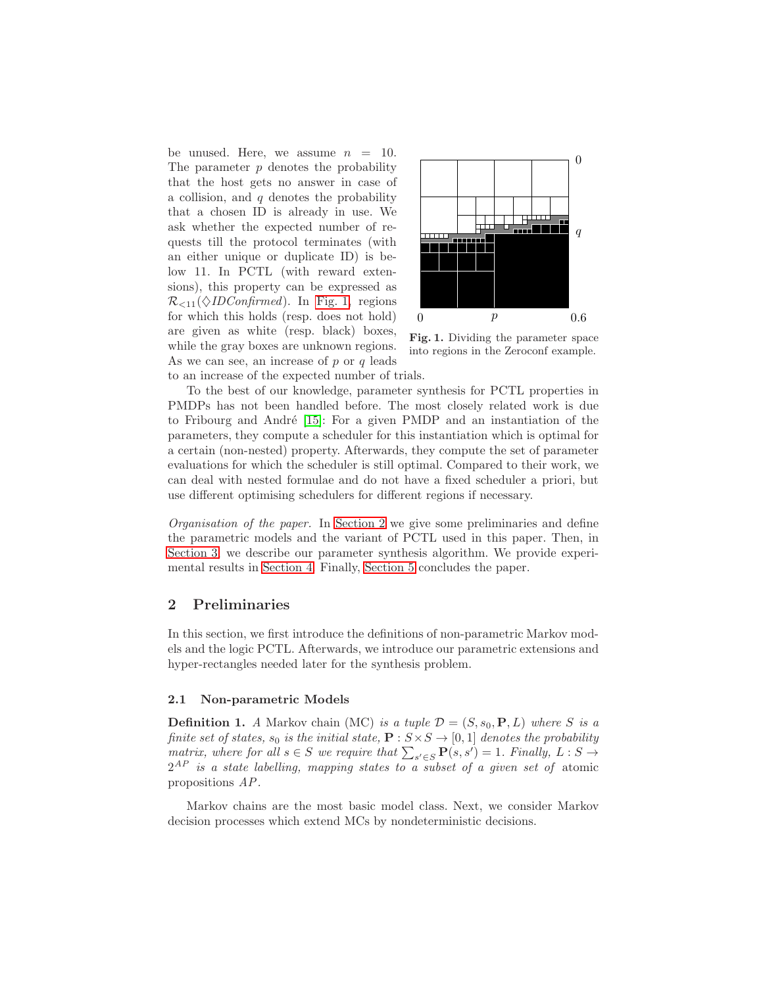be unused. Here, we assume  $n = 10$ . The parameter  $p$  denotes the probability that the host gets no answer in case of a collision, and  $q$  denotes the probability that a chosen ID is already in use. We ask whether the expected number of requests till the protocol terminates (with an either unique or duplicate ID) is below 11. In PCTL (with reward extensions), this property can be expressed as  $\mathcal{R}_{\leq 11}(\Diamond IDConfirmed)$ . In [Fig. 1,](#page-2-0) regions for which this holds (resp. does not hold) are given as white (resp. black) boxes, while the gray boxes are unknown regions. As we can see, an increase of  $p$  or  $q$  leads to an increase of the expected number of trials.

<span id="page-2-0"></span>

Fig. 1. Dividing the parameter space into regions in the Zeroconf example.

To the best of our knowledge, parameter synthesis for PCTL properties in PMDPs has not been handled before. The most closely related work is due to Fribourg and André  $[15]$ : For a given PMDP and an instantiation of the parameters, they compute a scheduler for this instantiation which is optimal for a certain (non-nested) property. Afterwards, they compute the set of parameter evaluations for which the scheduler is still optimal. Compared to their work, we can deal with nested formulae and do not have a fixed scheduler a priori, but use different optimising schedulers for different regions if necessary.

Organisation of the paper. In [Section 2](#page-2-1) we give some preliminaries and define the parametric models and the variant of PCTL used in this paper. Then, in [Section 3,](#page-6-0) we describe our parameter synthesis algorithm. We provide experimental results in [Section 4.](#page-10-0) Finally, [Section 5](#page-13-0) concludes the paper.

# <span id="page-2-1"></span>2 Preliminaries

In this section, we first introduce the definitions of non-parametric Markov models and the logic PCTL. Afterwards, we introduce our parametric extensions and hyper-rectangles needed later for the synthesis problem.

#### <span id="page-2-2"></span>2.1 Non-parametric Models

**Definition 1.** A Markov chain (MC) is a tuple  $\mathcal{D} = (S, s_0, \mathbf{P}, L)$  where S is a finite set of states,  $s_0$  is the initial state,  $\mathbf{P}: S \times S \rightarrow [0,1]$  denotes the probability matrix, where for all  $s \in S$  we require that  $\sum_{s' \in S} \mathbf{P}(s, s') = 1$ . Finally,  $L : S \to$  $2^{AP}$  is a state labelling, mapping states to a subset of a given set of atomic propositions  $AP$ .

<span id="page-2-3"></span>Markov chains are the most basic model class. Next, we consider Markov decision processes which extend MCs by nondeterministic decisions.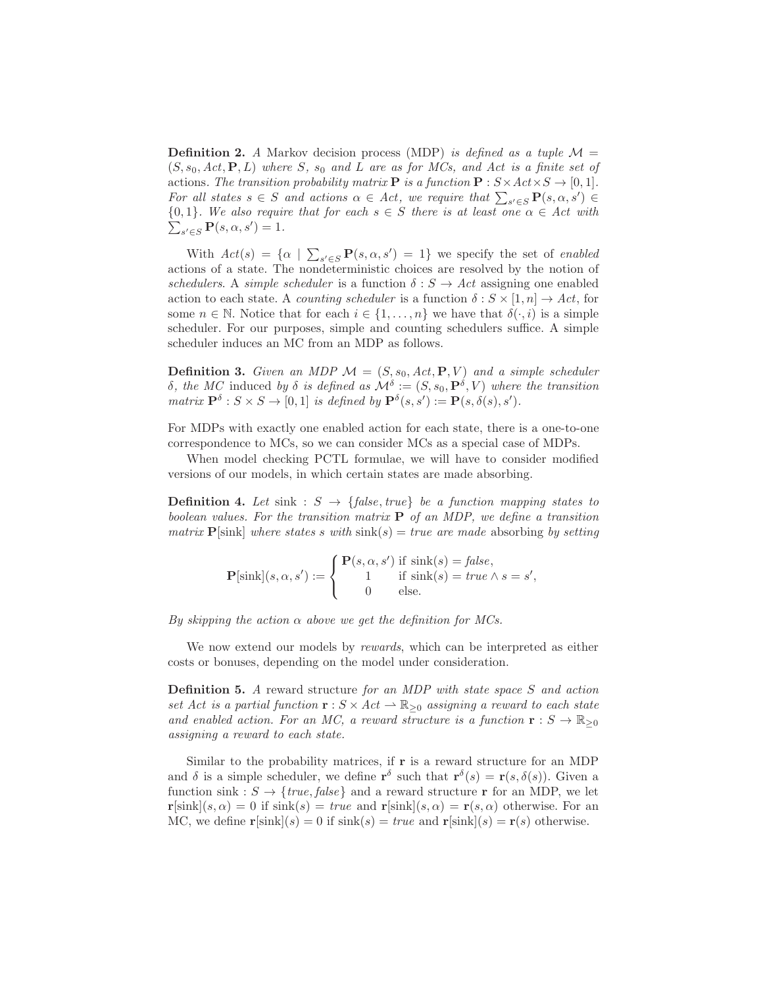**Definition 2.** A Markov decision process (MDP) is defined as a tuple  $\mathcal{M} =$  $(S, s_0, Act, P, L)$  where S, s<sub>0</sub> and L are as for MCs, and Act is a finite set of actions. The transition probability matrix **P** is a function  $\mathbf{P}: S \times Act \times S \rightarrow [0, 1]$ . For all states  $s \in S$  and actions  $\alpha \in Act$ , we require that  $\sum_{s' \in S} \mathbf{P}(s, \alpha, s') \in$  $\sum_{s' \in S} \mathbf{P}(s, \alpha, s') = 1.$  ${0, 1}.$  We also require that for each  $s \in S$  there is at least one  $\alpha \in Act$  with

With  $Act(s) = {\alpha \mid \sum_{s' \in S} P(s, \alpha, s') = 1}$  we specify the set of enabled actions of a state. The nondeterministic choices are resolved by the notion of schedulers. A simple scheduler is a function  $\delta : S \to Act$  assigning one enabled action to each state. A *counting scheduler* is a function  $\delta: S \times [1,n] \to Act$ , for some  $n \in \mathbb{N}$ . Notice that for each  $i \in \{1, ..., n\}$  we have that  $\delta(\cdot, i)$  is a simple scheduler. For our purposes, simple and counting schedulers suffice. A simple scheduler induces an MC from an MDP as follows.

**Definition 3.** Given an MDP  $M = (S, s_0, Act, P, V)$  and a simple scheduler δ, the MC induced by δ is defined as  $\mathcal{M}^{\delta} := (S, s_0, \mathbf{P}^{\delta}, V)$  where the transition matrix  $\mathbf{P}^{\delta}: S \times S \to [0,1]$  is defined by  $\mathbf{P}^{\delta}(s,s') := \mathbf{P}(s,\delta(s),s')$ .

For MDPs with exactly one enabled action for each state, there is a one-to-one correspondence to MCs, so we can consider MCs as a special case of MDPs.

When model checking PCTL formulae, we will have to consider modified versions of our models, in which certain states are made absorbing.

**Definition 4.** Let sink :  $S \rightarrow \{false, true\}$  be a function mapping states to boolean values. For the transition matrix  $P$  of an MDP, we define a transition matrix  $\mathbf{P}[\text{sink}]$  where states s with  $\text{sink}(s) = true$  are made absorbing by setting

$$
\mathbf{P}[\text{sink}](s,\alpha,s') := \begin{cases} \mathbf{P}(s,\alpha,s') \text{ if } \text{sink}(s) = \text{false}, \\ 1 & \text{if } \text{sink}(s) = \text{true} \wedge s = s', \\ 0 & \text{else.} \end{cases}
$$

By skipping the action  $\alpha$  above we get the definition for MCs.

We now extend our models by *rewards*, which can be interpreted as either costs or bonuses, depending on the model under consideration.

Definition 5. A reward structure for an MDP with state space S and action set Act is a partial function  $\mathbf{r} : S \times Act \to \mathbb{R}_{\geq 0}$  assigning a reward to each state and enabled action. For an MC, a reward structure is a function  $\mathbf{r}: S \to \mathbb{R}_{\geq 0}$ assigning a reward to each state.

Similar to the probability matrices, if r is a reward structure for an MDP and  $\delta$  is a simple scheduler, we define  $\mathbf{r}^{\delta}$  such that  $\mathbf{r}^{\delta}(s) = \mathbf{r}(s, \delta(s))$ . Given a function sink :  $S \rightarrow \{true, false\}$  and a reward structure r for an MDP, we let  $\mathbf{r}[\sin k](s,\alpha) = 0$  if  $\sin k(s) = true$  and  $\mathbf{r}[\sin k](s,\alpha) = \mathbf{r}(s,\alpha)$  otherwise. For an MC, we define  $\mathbf{r}[\sinh(s) = 0 \text{ if } \sinh(s) = true \text{ and } \mathbf{r}[\sinh(s) = \mathbf{r}(s) \text{ otherwise.}$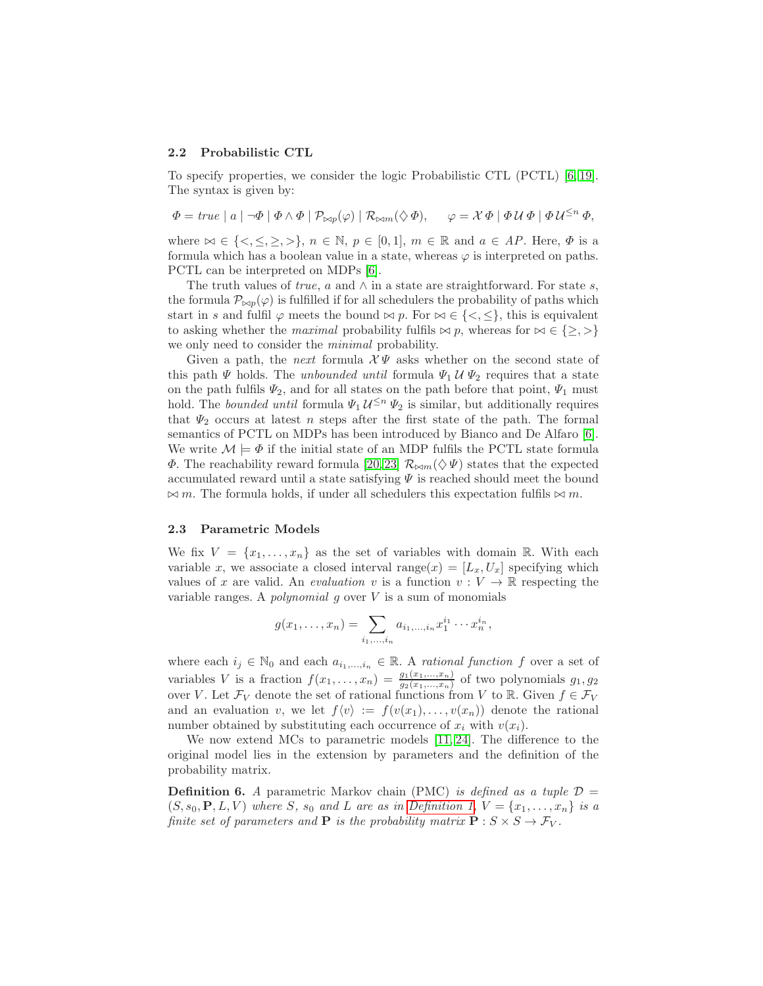## 2.2 Probabilistic CTL

To specify properties, we consider the logic Probabilistic CTL (PCTL) [\[6,](#page-14-0) [19\]](#page-14-9). The syntax is given by:

 $\Phi = \text{true} \mid a \mid \neg \Phi \mid \Phi \land \Phi \mid \mathcal{P}_{\bowtie p}(\varphi) \mid \mathcal{R}_{\bowtie m}(\Diamond \Phi), \quad \varphi = \mathcal{X} \Phi \mid \Phi \mathcal{U} \Phi \mid \Phi \mathcal{U}^{\leq n} \Phi,$ 

where  $\bowtie \in \{<,\leq,\geq,>\}, n \in \mathbb{N}, p \in [0,1], m \in \mathbb{R}$  and  $a \in AP$ . Here,  $\Phi$  is a formula which has a boolean value in a state, whereas  $\varphi$  is interpreted on paths. PCTL can be interpreted on MDPs [\[6\]](#page-14-0).

The truth values of true, a and  $\wedge$  in a state are straightforward. For state s, the formula  $\mathcal{P}_{\bowtie p}(\varphi)$  is fulfilled if for all schedulers the probability of paths which start in s and fulfil  $\varphi$  meets the bound  $\bowtie$  p. For  $\bowtie \in \{<,\leq\}$ , this is equivalent to asking whether the *maximal* probability fulfils  $\bowtie$  p, whereas for  $\bowtie \in \{>, >\}$ we only need to consider the minimal probability.

Given a path, the *next* formula  $\mathcal{X} \Psi$  asks whether on the second state of this path  $\Psi$  holds. The *unbounded until* formula  $\Psi_1 \mathcal{U} \Psi_2$  requires that a state on the path fulfils  $\Psi_2$ , and for all states on the path before that point,  $\Psi_1$  must hold. The *bounded until* formula  $\Psi_1 \mathcal{U}^{\leq n} \Psi_2$  is similar, but additionally requires that  $\Psi_2$  occurs at latest n steps after the first state of the path. The formal semantics of PCTL on MDPs has been introduced by Bianco and De Alfaro [\[6\]](#page-14-0). We write  $\mathcal{M} \models \Phi$  if the initial state of an MDP fulfils the PCTL state formula  $Φ$ . The reachability reward formula [\[20,](#page-14-10) [23\]](#page-14-11)  $\mathcal{R}_{\bowtie m}$  ( $\Diamond$  Ψ) states that the expected accumulated reward until a state satisfying  $\Psi$  is reached should meet the bound  $\Join$  m. The formula holds, if under all schedulers this expectation fulfils  $\Join$  m.

#### 2.3 Parametric Models

We fix  $V = \{x_1, \ldots, x_n\}$  as the set of variables with domain R. With each variable x, we associate a closed interval range $(x) = [L_x, U_x]$  specifying which values of x are valid. An *evaluation* v is a function  $v: V \to \mathbb{R}$  respecting the variable ranges. A *polynomial*  $q$  over  $V$  is a sum of monomials

$$
g(x_1,...,x_n) = \sum_{i_1,...,i_n} a_{i_1,...,i_n} x_1^{i_1} \cdots x_n^{i_n},
$$

where each  $i_j \in \mathbb{N}_0$  and each  $a_{i_1,\dots,i_n} \in \mathbb{R}$ . A rational function f over a set of variables V is a fraction  $f(x_1,...,x_n) = \frac{g_1(x_1,...,x_n)}{g_2(x_1,...,x_n)}$  of two polynomials  $g_1, g_2$ over V. Let  $\mathcal{F}_V$  denote the set of rational functions from V to R. Given  $f \in \mathcal{F}_V$ and an evaluation v, we let  $f\langle v \rangle := f(v(x_1), \ldots, v(x_n))$  denote the rational number obtained by substituting each occurrence of  $x_i$  with  $v(x_i)$ .

We now extend MCs to parametric models [\[11,](#page-14-3) [24\]](#page-14-2). The difference to the original model lies in the extension by parameters and the definition of the probability matrix.

**Definition 6.** A parametric Markov chain (PMC) is defined as a tuple  $\mathcal{D} =$  $(S, s_0, P, L, V)$  where S, s<sub>0</sub> and L are as in [Definition 1,](#page-2-2)  $V = \{x_1, \ldots, x_n\}$  is a finite set of parameters and **P** is the probability matrix  $\mathbf{P}: S \times S \to \mathcal{F}_V$ .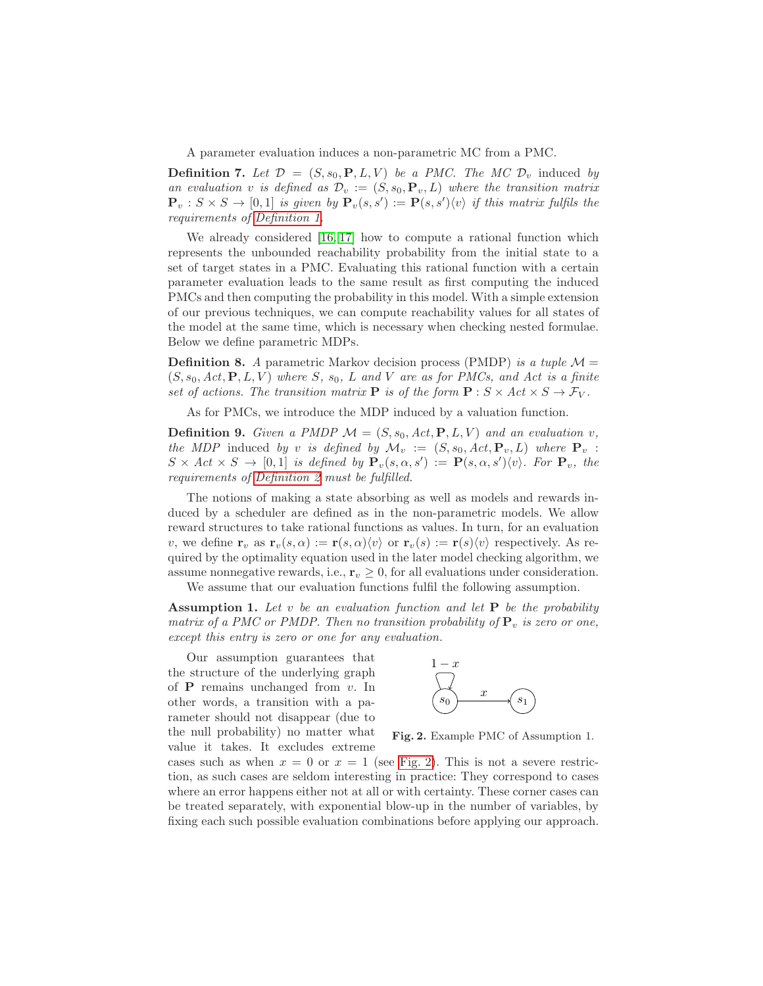A parameter evaluation induces a non-parametric MC from a PMC.

**Definition 7.** Let  $\mathcal{D} = (S, s_0, P, L, V)$  be a PMC. The MC  $\mathcal{D}_v$  induced by an evaluation v is defined as  $\mathcal{D}_v := (S, s_0, \mathbf{P}_v, L)$  where the transition matrix  $\mathbf{P}_v : S \times S \to [0,1]$  is given by  $\mathbf{P}_v(s, s') := \mathbf{P}(s, s')\langle v \rangle$  if this matrix fulfils the requirements of [Definition 1.](#page-2-2)

We already considered [\[16,](#page-14-6) [17\]](#page-14-5) how to compute a rational function which represents the unbounded reachability probability from the initial state to a set of target states in a PMC. Evaluating this rational function with a certain parameter evaluation leads to the same result as first computing the induced PMCs and then computing the probability in this model. With a simple extension of our previous techniques, we can compute reachability values for all states of the model at the same time, which is necessary when checking nested formulae. Below we define parametric MDPs.

**Definition 8.** A parametric Markov decision process (PMDP) is a tuple  $\mathcal{M} =$  $(S, s_0, Act, P, L, V)$  where S, s<sub>0</sub>, L and V are as for PMCs, and Act is a finite set of actions. The transition matrix **P** is of the form  $\mathbf{P}: S \times Act \times S \rightarrow F_V$ .

As for PMCs, we introduce the MDP induced by a valuation function.

**Definition 9.** Given a PMDP  $\mathcal{M} = (S, s_0, Act, P, L, V)$  and an evaluation v, the MDP induced by v is defined by  $\mathcal{M}_v := (S, s_0, Act, \mathbf{P}_v, L)$  where  $\mathbf{P}_v$ :  $S \times Act \times S \rightarrow [0,1]$  is defined by  $\mathbf{P}_v(s,\alpha,s') := \mathbf{P}(s,\alpha,s')\langle v \rangle$ . For  $\mathbf{P}_v$ , the requirements of [Definition 2](#page-2-3) must be fulfilled.

The notions of making a state absorbing as well as models and rewards induced by a scheduler are defined as in the non-parametric models. We allow reward structures to take rational functions as values. In turn, for an evaluation v, we define  $\mathbf{r}_v$  as  $\mathbf{r}_v(s, \alpha) := \mathbf{r}(s, \alpha)\langle v \rangle$  or  $\mathbf{r}_v(s) := \mathbf{r}(s)\langle v \rangle$  respectively. As required by the optimality equation used in the later model checking algorithm, we assume nonnegative rewards, i.e.,  $\mathbf{r}_v \geq 0$ , for all evaluations under consideration.

We assume that our evaluation functions fulfil the following assumption.

**Assumption 1.** Let v be an evaluation function and let  $P$  be the probability matrix of a PMC or PMDP. Then no transition probability of  $P_v$  is zero or one, except this entry is zero or one for any evaluation.

Our assumption guarantees that the structure of the underlying graph of **P** remains unchanged from  $v$ . In other words, a transition with a parameter should not disappear (due to the null probability) no matter what value it takes. It excludes extreme

<span id="page-5-1"></span><span id="page-5-0"></span>

Fig. 2. Example PMC of Assumption 1.

cases such as when  $x = 0$  or  $x = 1$  (see [Fig. 2\)](#page-5-0). This is not a severe restriction, as such cases are seldom interesting in practice: They correspond to cases where an error happens either not at all or with certainty. These corner cases can be treated separately, with exponential blow-up in the number of variables, by fixing each such possible evaluation combinations before applying our approach.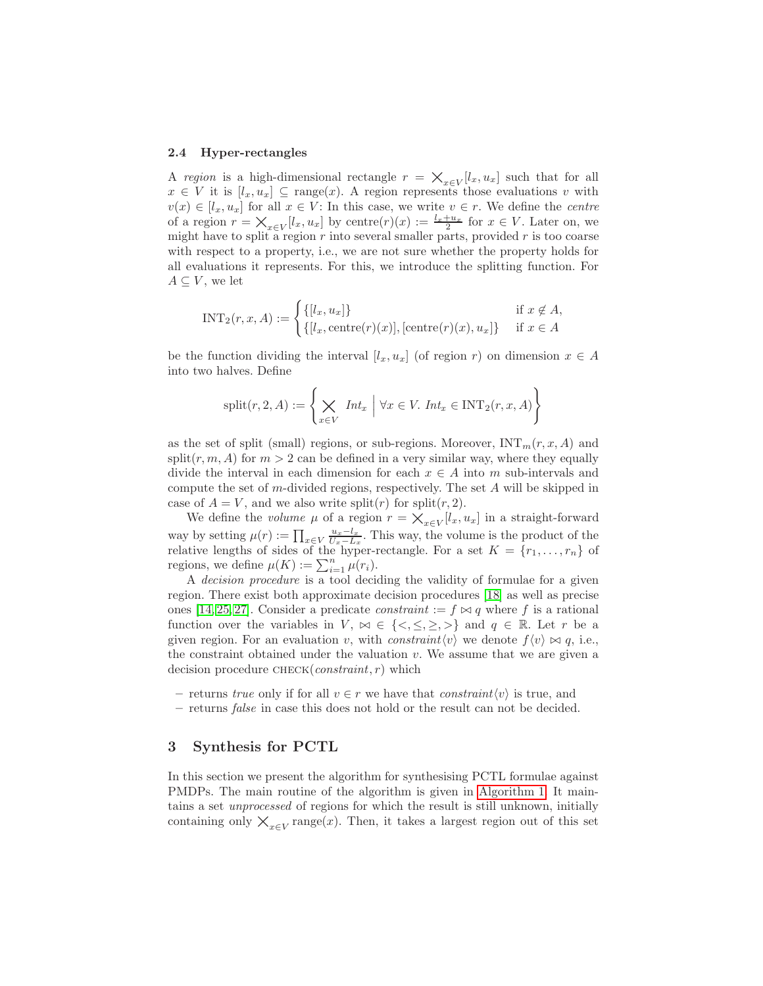#### <span id="page-6-1"></span>2.4 Hyper-rectangles

A region is a high-dimensional rectangle  $r = \mathsf{X}_{x \in V}[l_x, u_x]$  such that for all  $x \in V$  it is  $[l_x, u_x] \subseteq \text{range}(x)$ . A region represents those evaluations v with  $v(x) \in [l_x, u_x]$  for all  $x \in V$ : In this case, we write  $v \in r$ . We define the *centre* of a region  $r = \underset{x \in V}{\times} [l_x, u_x]$  by centre $(r)(x) := \frac{l_x + u_x}{2}$  for  $x \in V$ . Later on, we might have to split a region  $r$  into several smaller parts, provided  $r$  is too coarse with respect to a property, i.e., we are not sure whether the property holds for all evaluations it represents. For this, we introduce the splitting function. For  $A \subseteq V$ , we let

$$
INT_2(r, x, A) := \begin{cases} \{ [l_x, u_x] \} & \text{if } x \notin A, \\ \{ [l_x, \text{centre}(r)(x)], [\text{centre}(r)(x), u_x] \} & \text{if } x \in A \end{cases}
$$

be the function dividing the interval  $[l_x, u_x]$  (of region r) on dimension  $x \in A$ into two halves. Define

$$
split(r, 2, A) := \left\{ \bigtimes_{x \in V} Int_x \mid \forall x \in V. Int_x \in INT_2(r, x, A) \right\}
$$

as the set of split (small) regions, or sub-regions. Moreover,  $\text{INT}_m(r, x, A)$  and  $split(r, m, A)$  for  $m > 2$  can be defined in a very similar way, where they equally divide the interval in each dimension for each  $x \in A$  into m sub-intervals and compute the set of m-divided regions, respectively. The set  $A$  will be skipped in case of  $A = V$ , and we also write split(*r*) for split(*r*, 2).

We define the *volume*  $\mu$  of a region  $r = \mathsf{X}_{x \in V}[l_x, u_x]$  in a straight-forward way by setting  $\mu(r) := \prod_{x \in V} \frac{u_x - l_x}{U_x - L_x}$ . This way, the volume is the product of the relative lengths of sides of the hyper-rectangle. For a set  $K = \{r_1, \ldots, r_n\}$  of regions, we define  $\mu(K) := \sum_{i=1}^n \mu(r_i)$ .

A decision procedure is a tool deciding the validity of formulae for a given region. There exist both approximate decision procedures [\[18\]](#page-14-12) as well as precise ones [\[14,](#page-14-13) [25,](#page-14-14) [27\]](#page-14-15). Consider a predicate *constraint* :=  $f \bowtie q$  where f is a rational function over the variables in  $V, \bowtie \in \{ \langle \leq, \leq \rangle \geq \}$  and  $q \in \mathbb{R}$ . Let r be a given region. For an evaluation v, with constraint $\langle v \rangle$  we denote  $f\langle v \rangle \bowtie q$ , i.e., the constraint obtained under the valuation  $v$ . We assume that we are given a decision procedure  $\text{CHECK}(constraint, r)$  which

- returns true only if for all  $v \in r$  we have that constraint $\langle v \rangle$  is true, and
- returns false in case this does not hold or the result can not be decided.

## <span id="page-6-0"></span>3 Synthesis for PCTL

In this section we present the algorithm for synthesising PCTL formulae against PMDPs. The main routine of the algorithm is given in [Algorithm 1.](#page-7-0) It maintains a set unprocessed of regions for which the result is still unknown, initially containing only  $\mathsf{X}_{x\in V}$  range(x). Then, it takes a largest region out of this set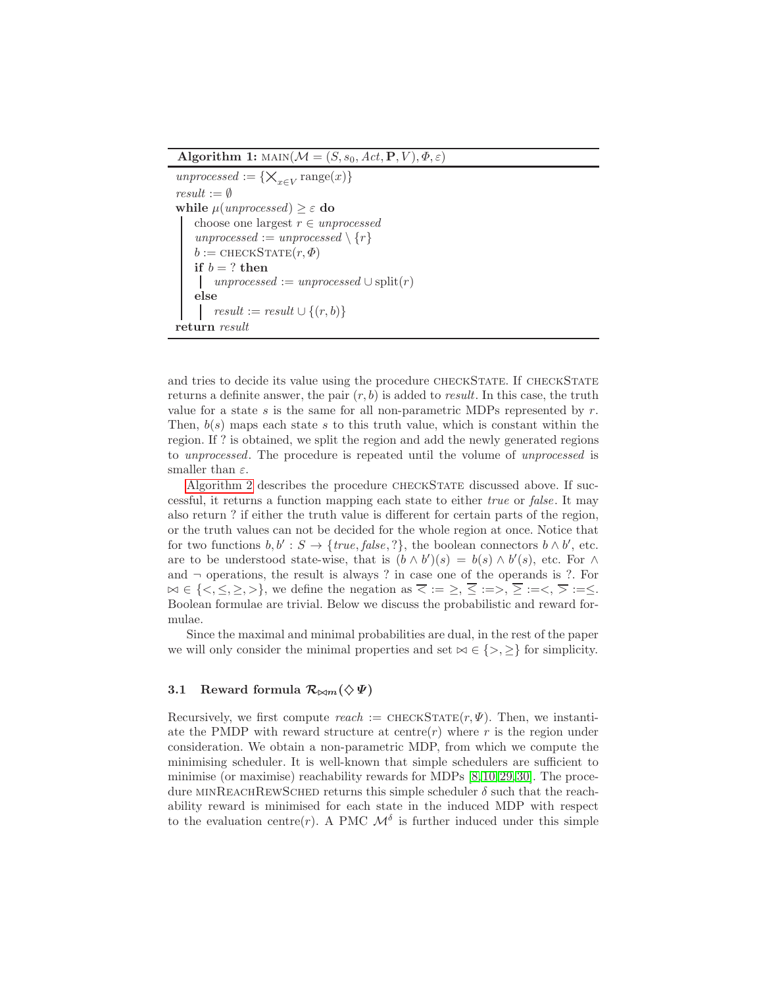## <span id="page-7-0"></span>Algorithm 1:  $\text{MAN}(\mathcal{M} = (S, s_0, Act, P, V), \Phi, \varepsilon)$

```
unprocessed := {\{\mathsf{X}_{x\in V} \text{range}(x)\}}result := \emptysetwhile \mu(unprocessed) > \varepsilon do
choose one largest r \in unprocessed
unprocessed := unprocessed \setminus \{r\}b := \text{CHECKSTATE}(r, \Phi)if b = ? then
 | unprocessed := unprocessed ∪ split(r)else
   result := result \cup \{(r, b)\}\return result
```
and tries to decide its value using the procedure CHECKSTATE. If CHECKSTATE returns a definite answer, the pair  $(r, b)$  is added to *result*. In this case, the truth value for a state  $s$  is the same for all non-parametric MDPs represented by  $r$ . Then,  $b(s)$  maps each state s to this truth value, which is constant within the region. If ? is obtained, we split the region and add the newly generated regions to unprocessed. The procedure is repeated until the volume of unprocessed is smaller than  $\varepsilon$ .

[Algorithm 2](#page-8-0) describes the procedure CHECKSTATE discussed above. If successful, it returns a function mapping each state to either true or false. It may also return ? if either the truth value is different for certain parts of the region, or the truth values can not be decided for the whole region at once. Notice that for two functions  $b, b' : S \to \{true, false, ?\}$ , the boolean connectors  $b \wedge b'$ , etc. are to be understood state-wise, that is  $(b \wedge b')(s) = b(s) \wedge b'(s)$ , etc. For  $\wedge$ and  $\neg$  operations, the result is always ? in case one of the operands is ?. For  $\bowtie \in \{ \langle \leq, \leq \rangle \geq \},\$  we define the negation as  $\overline{\leq} := \geq, \overline{\leq} := \rangle, \geq := \langle \leq \rangle := \leq$ . Boolean formulae are trivial. Below we discuss the probabilistic and reward formulae.

Since the maximal and minimal probabilities are dual, in the rest of the paper we will only consider the minimal properties and set  $\bowtie \in \{>, \geq\}$  for simplicity.

## 3.1 Reward formula  $\mathcal{R}_{\bowtie m}(\lozenge \Psi)$

Recursively, we first compute  $reach := \text{CHECKSTATE}(r, \Psi)$ . Then, we instantiate the PMDP with reward structure at centre( $r$ ) where  $r$  is the region under consideration. We obtain a non-parametric MDP, from which we compute the minimising scheduler. It is well-known that simple schedulers are sufficient to minimise (or maximise) reachability rewards for MDPs [\[8,](#page-14-18) [10,](#page-14-19) [29,](#page-14-20) [30\]](#page-14-21). The procedure MINREACHREWSCHED returns this simple scheduler  $\delta$  such that the reachability reward is minimised for each state in the induced MDP with respect to the evaluation centre(*r*). A PMC  $\mathcal{M}^{\delta}$  is further induced under this simple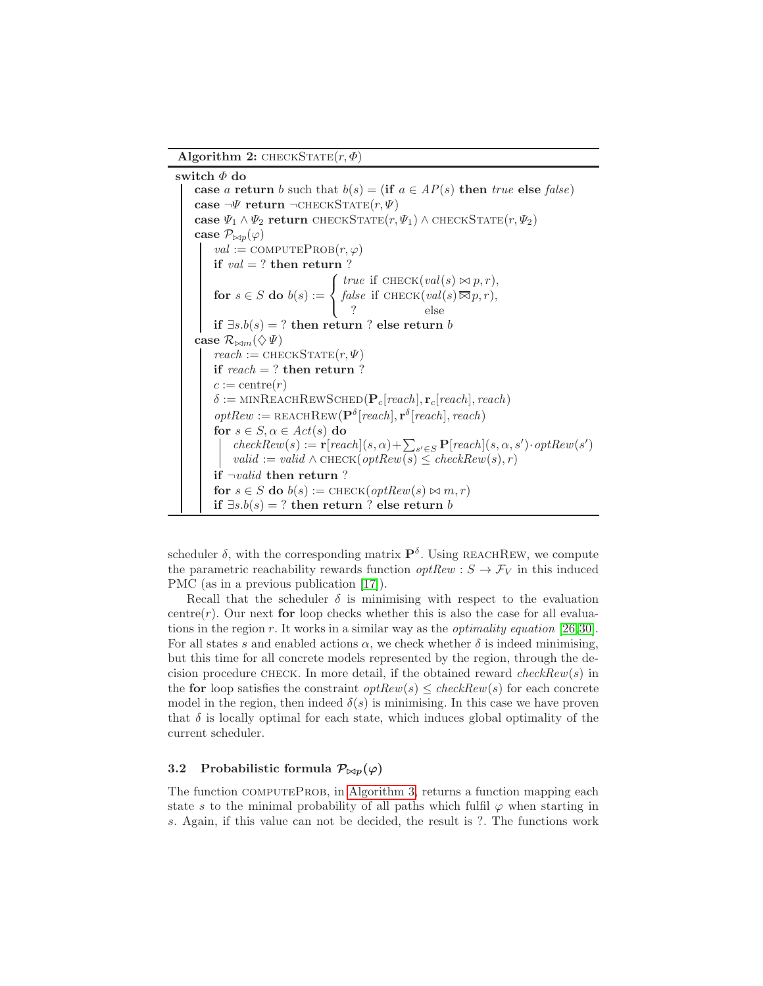<span id="page-8-0"></span>switch  $\Phi$  do

case a return b such that  $b(s) = (\text{if } a \in AP(s) \text{ then true else false})$ case  $\neg \Psi$  return  $\neg$ CHECKSTATE $(r, \Psi)$ case  $\Psi_1 \wedge \Psi_2$  return CHECKSTATE $(r, \Psi_1) \wedge$ CHECKSTATE $(r, \Psi_2)$ case  $\mathcal{P}_{\bowtie p}(\varphi)$  $val := \text{COMPUTEPROB}(r, \varphi)$ if  $val = ?$  then return ? for  $s \in S$  do  $b(s) :=$  $\sqrt{ }$  $\left\langle \right\rangle$  $\mathcal{L}$ true if CHECK(val(s)  $\bowtie$  p, r), false if CHECK $(val(s) \boxtimes p, r),$ ? else if  $∃s.b(s) = ?$  then return ? else return b case  $\mathcal{R}_{\bowtie m}(\lozenge \varPsi)$  $reach := \text{CHECKSTATE}(r, \Psi)$ if  $reach = ?$  then return ?  $c := \text{centre}(r)$  $\delta := \text{MINREACHREWSCHED}(\mathbf{P}_c[reach], \mathbf{r}_c[reach], reach)$  $optRow := \text{REACHREW}(\mathbf{P}^{\delta}[reach], \mathbf{r}^{\delta}[reach], reach)$ for  $s \in S$ ,  $\alpha \in \text{Act}(s)$  do  $checkRow(s) := \mathbf{r}[\mathit{reach}](s, \alpha) + \sum_{s' \in S} \mathbf{P}[\mathit{reach}](s, \alpha, s') \cdot \mathit{optRow}(s')$ valid := valid  $\land$  CHECK(optRew(s)  $\leq$  checkRew(s), r) if ¬valid then return ? for  $s \in S$  do  $b(s) :=$  CHECK( $\text{optRow}(s) \bowtie m, r$ ) if  $∃s.b(s) = ?$  then return ? else return b

scheduler  $\delta$ , with the corresponding matrix  $\mathbf{P}^{\delta}$ . Using REACHREW, we compute the parametric reachability rewards function  $\text{optRow}: S \to \mathcal{F}_V$  in this induced PMC (as in a previous publication [\[17\]](#page-14-5)).

Recall that the scheduler  $\delta$  is minimising with respect to the evaluation centre $(r)$ . Our next for loop checks whether this is also the case for all evaluations in the region r. It works in a similar way as the optimality equation [\[26,](#page-14-1)[30\]](#page-14-21). For all states s and enabled actions  $\alpha$ , we check whether  $\delta$  is indeed minimising, but this time for all concrete models represented by the region, through the decision procedure CHECK. In more detail, if the obtained reward  $checkRew(s)$  in the **for** loop satisfies the constraint  $optRew(s) \leq checkRew(s)$  for each concrete model in the region, then indeed  $\delta(s)$  is minimising. In this case we have proven that  $\delta$  is locally optimal for each state, which induces global optimality of the current scheduler.

## 3.2 Probabilistic formula  $\mathcal{P}_{\bowtie p}(\varphi)$

The function COMPUTEPROB, in [Algorithm 3,](#page-9-0) returns a function mapping each state s to the minimal probability of all paths which fulfil  $\varphi$  when starting in s. Again, if this value can not be decided, the result is ?. The functions work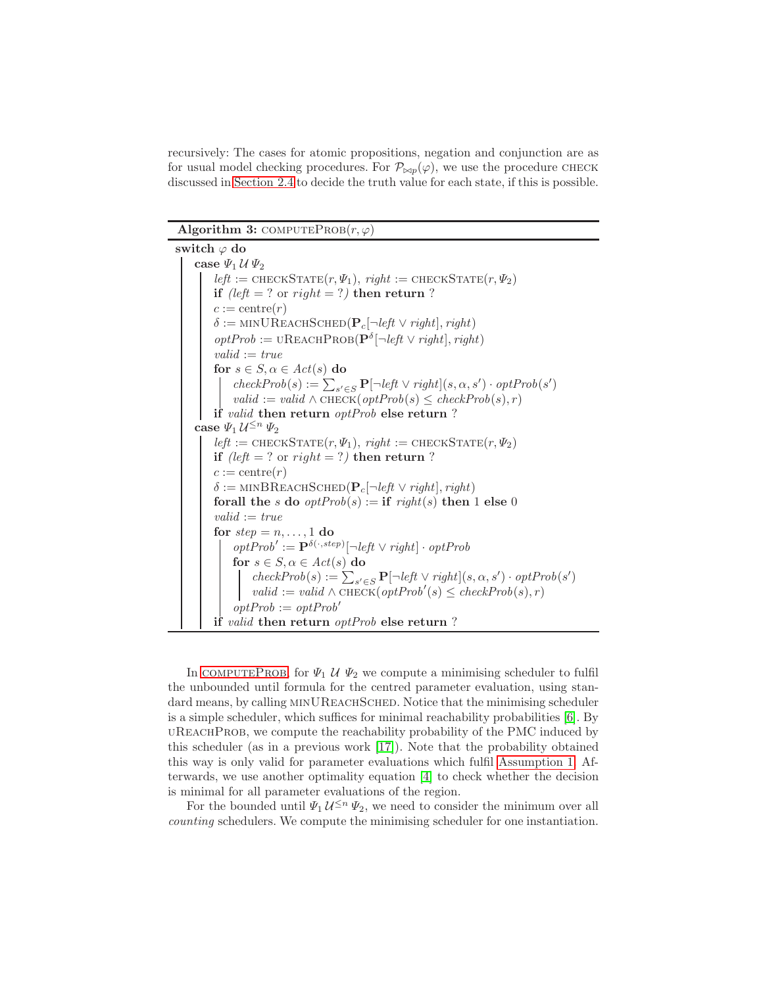recursively: The cases for atomic propositions, negation and conjunction are as for usual model checking procedures. For  $\mathcal{P}_{\bowtie p}(\varphi)$ , we use the procedure CHECK discussed in [Section 2.4](#page-6-1) to decide the truth value for each state, if this is possible.

## <span id="page-9-0"></span>Algorithm 3: COMPUTEPROB $(r, \varphi)$

| switch $\varphi$ do                                                                                                                                                     |  |  |  |  |  |
|-------------------------------------------------------------------------------------------------------------------------------------------------------------------------|--|--|--|--|--|
| case $\Psi_1 \mathcal{U} \Psi_2$                                                                                                                                        |  |  |  |  |  |
| $left :=$ CHECKSTATE $(r, \Psi_1)$ , $right :=$ CHECKSTATE $(r, \Psi_2)$                                                                                                |  |  |  |  |  |
| if $(left = ? \text{ or } right = ?)$ then return ?                                                                                                                     |  |  |  |  |  |
| $c := \text{centre}(r)$                                                                                                                                                 |  |  |  |  |  |
| $\delta := \text{MINUREACHSCHED}(\mathbf{P}_c[\neg left \lor right], right)$                                                                                            |  |  |  |  |  |
| $optProb := \text{UREACHPROB}(\mathbf{P}^{\delta} \mid \neg left \lor right), right)$                                                                                   |  |  |  |  |  |
| $valid := true$                                                                                                                                                         |  |  |  |  |  |
| for $s \in S$ , $\alpha \in Act(s)$ do                                                                                                                                  |  |  |  |  |  |
| $checkProb(s) := \sum_{s' \in S} \mathbf{P}[\neg left \lor right](s, \alpha, s') \cdot optProb(s')$                                                                     |  |  |  |  |  |
| valid := valid $\land$ CHECK( $optProb(s) \leq checkProb(s), r$ )                                                                                                       |  |  |  |  |  |
| if <i>valid</i> then return <i>optProb</i> else return ?                                                                                                                |  |  |  |  |  |
| case $\Psi_1 \mathcal{U}^{\leq n} \Psi_2$                                                                                                                               |  |  |  |  |  |
| $left :=$ CHECKSTATE $(r, \Psi_1)$ , $right :=$ CHECKSTATE $(r, \Psi_2)$                                                                                                |  |  |  |  |  |
| if $(left = ? \text{ or } right = ?)$ then return ?                                                                                                                     |  |  |  |  |  |
| $c := \text{centre}(r)$                                                                                                                                                 |  |  |  |  |  |
| $\delta := \text{MINBREACHSCHED}(\mathbf{P}_c[\neg left \lor right], right)$                                                                                            |  |  |  |  |  |
| forall the s do $optProb(s) :=$ if $right(s)$ then 1 else 0                                                                                                             |  |  |  |  |  |
| $valid := true$                                                                                                                                                         |  |  |  |  |  |
| for $step = n, , 1$ do                                                                                                                                                  |  |  |  |  |  |
| $optProb' := \mathbf{P}^{\delta(\cdot, step)}[\neg left \lor right] \cdot optProb$                                                                                      |  |  |  |  |  |
| for $s \in S$ , $\alpha \in Act(s)$ do                                                                                                                                  |  |  |  |  |  |
| $checkProb(s) := \sum_{s' \in S} \mathbf{P}[\neg left \lor right](s, \alpha, s') \cdot optProb(s')$<br>valid := valid $\land$ CHECK(optProb'(s) $\leq$ checkProb(s), r) |  |  |  |  |  |
| $optProb := optProb'$                                                                                                                                                   |  |  |  |  |  |
| if <i>valid</i> then return <i>optProb</i> else return ?                                                                                                                |  |  |  |  |  |

In COMPUTEPROB, for  $\Psi_1 \mathcal{U} \Psi_2$  we compute a minimising scheduler to fulfil the unbounded until formula for the centred parameter evaluation, using standard means, by calling MINUREACHSCHED. Notice that the minimising scheduler is a simple scheduler, which suffices for minimal reachability probabilities [\[6\]](#page-14-0). By uReachProb, we compute the reachability probability of the PMC induced by this scheduler (as in a previous work [\[17\]](#page-14-5)). Note that the probability obtained this way is only valid for parameter evaluations which fulfil [Assumption](#page-5-1) 1. Afterwards, we use another optimality equation [\[4\]](#page-14-22) to check whether the decision is minimal for all parameter evaluations of the region.

For the bounded until  $\Psi_1 \mathcal{U}^{\leq n} \Psi_2$ , we need to consider the minimum over all counting schedulers. We compute the minimising scheduler for one instantiation.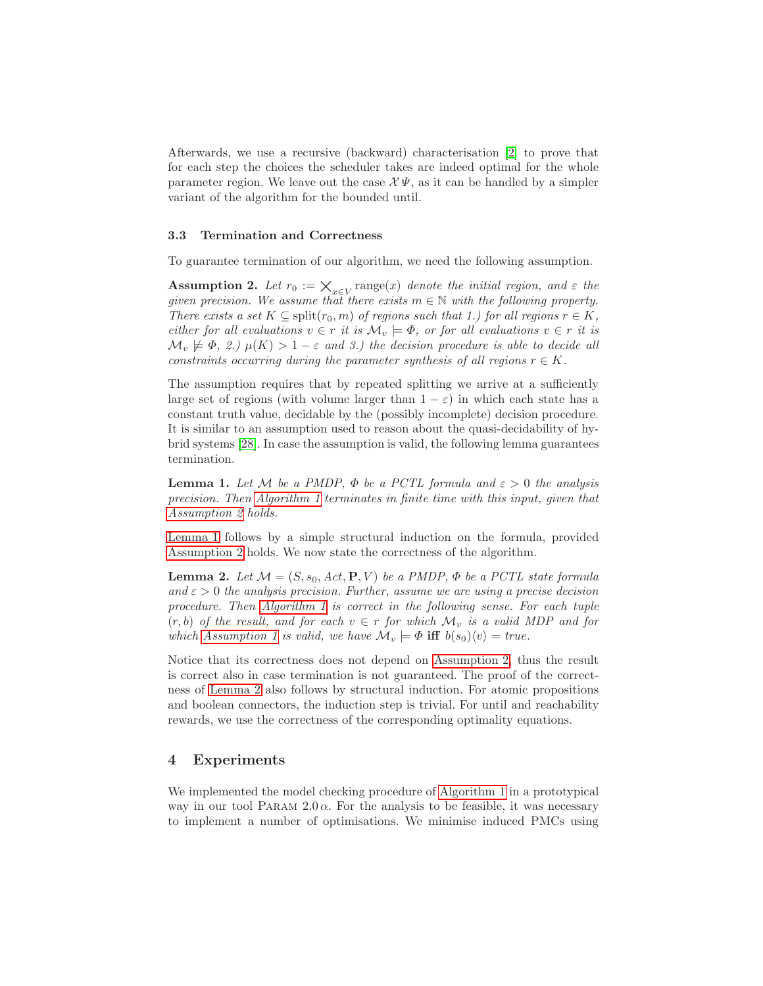Afterwards, we use a recursive (backward) characterisation [\[2\]](#page-13-1) to prove that for each step the choices the scheduler takes are indeed optimal for the whole parameter region. We leave out the case  $\mathcal{X}\Psi$ , as it can be handled by a simpler variant of the algorithm for the bounded until.

## 3.3 Termination and Correctness

<span id="page-10-1"></span>To guarantee termination of our algorithm, we need the following assumption.

**Assumption 2.** Let  $r_0 := \bigtimes_{x \in V} \text{range}(x)$  denote the initial region, and  $\varepsilon$  the given precision. We assume that there exists  $m \in \mathbb{N}$  with the following property. There exists a set  $K \subseteq \text{split}(r_0, m)$  of regions such that 1.) for all regions  $r \in K$ , either for all evaluations  $v \in r$  it is  $\mathcal{M}_v \models \Phi$ , or for all evaluations  $v \in r$  it is  $\mathcal{M}_v \not\models \Phi$ , 2.)  $\mu(K) > 1 - \varepsilon$  and 3.) the decision procedure is able to decide all constraints occurring during the parameter synthesis of all regions  $r \in K$ .

The assumption requires that by repeated splitting we arrive at a sufficiently large set of regions (with volume larger than  $1 - \varepsilon$ ) in which each state has a constant truth value, decidable by the (possibly incomplete) decision procedure. It is similar to an assumption used to reason about the quasi-decidability of hybrid systems [\[28\]](#page-14-23). In case the assumption is valid, the following lemma guarantees termination.

<span id="page-10-2"></span>**Lemma 1.** Let M be a PMDP,  $\Phi$  be a PCTL formula and  $\varepsilon > 0$  the analysis precision. Then [Algorithm 1](#page-7-0) terminates in finite time with this input, given that [Assumption 2](#page-10-1) holds.

<span id="page-10-3"></span>[Lemma 1](#page-10-2) follows by a simple structural induction on the formula, provided [Assumption 2](#page-10-1) holds. We now state the correctness of the algorithm.

**Lemma 2.** Let  $M = (S, s_0, Act, P, V)$  be a PMDP,  $\Phi$  be a PCTL state formula and  $\varepsilon > 0$  the analysis precision. Further, assume we are using a precise decision procedure. Then [Algorithm 1](#page-7-0) is correct in the following sense. For each tuple  $(r, b)$  of the result, and for each  $v \in r$  for which  $\mathcal{M}_v$  is a valid MDP and for which [Assumption 1](#page-5-1) is valid, we have  $\mathcal{M}_v \models \Phi$  iff  $b(s_0)\langle v \rangle = true$ .

Notice that its correctness does not depend on [Assumption 2,](#page-10-1) thus the result is correct also in case termination is not guaranteed. The proof of the correctness of [Lemma 2](#page-10-3) also follows by structural induction. For atomic propositions and boolean connectors, the induction step is trivial. For until and reachability rewards, we use the correctness of the corresponding optimality equations.

# <span id="page-10-0"></span>4 Experiments

We implemented the model checking procedure of [Algorithm 1](#page-7-0) in a prototypical way in our tool PARAM  $2.0\alpha$ . For the analysis to be feasible, it was necessary to implement a number of optimisations. We minimise induced PMCs using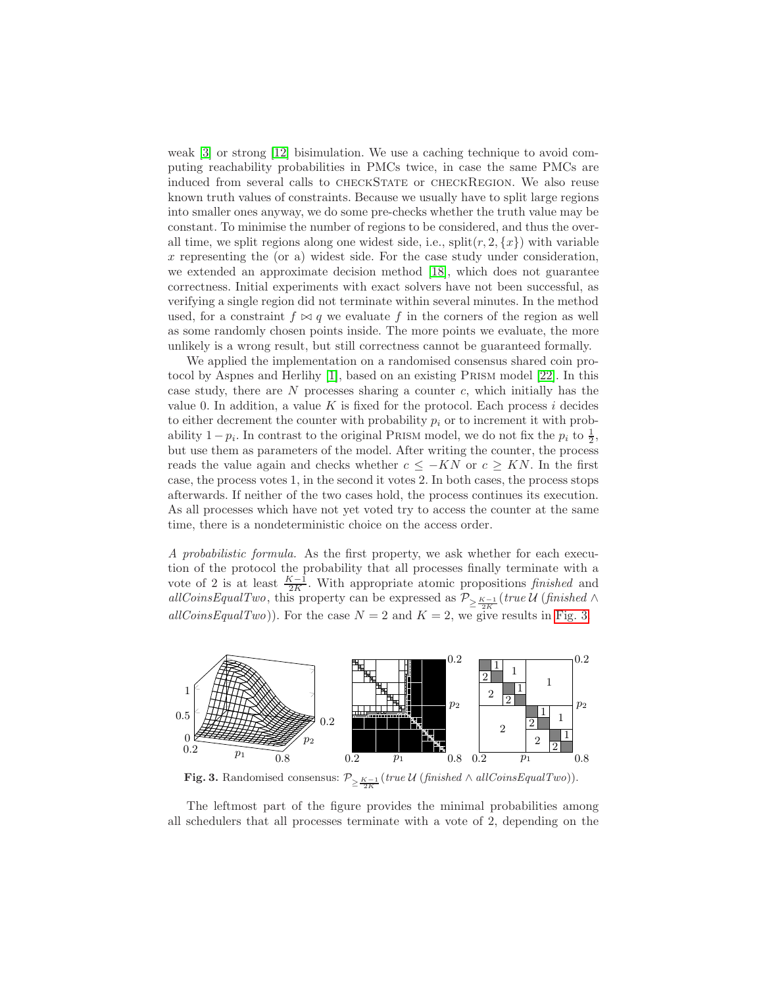weak [\[3\]](#page-14-24) or strong [\[12\]](#page-14-25) bisimulation. We use a caching technique to avoid computing reachability probabilities in PMCs twice, in case the same PMCs are induced from several calls to CHECKSTATE or CHECKREGION. We also reuse known truth values of constraints. Because we usually have to split large regions into smaller ones anyway, we do some pre-checks whether the truth value may be constant. To minimise the number of regions to be considered, and thus the overall time, we split regions along one widest side, i.e.,  $\text{split}(r, 2, \{x\})$  with variable x representing the (or a) widest side. For the case study under consideration, we extended an approximate decision method [\[18\]](#page-14-12), which does not guarantee correctness. Initial experiments with exact solvers have not been successful, as verifying a single region did not terminate within several minutes. In the method used, for a constraint  $f \bowtie q$  we evaluate f in the corners of the region as well as some randomly chosen points inside. The more points we evaluate, the more unlikely is a wrong result, but still correctness cannot be guaranteed formally.

We applied the implementation on a randomised consensus shared coin protocol by Aspnes and Herlihy [\[1\]](#page-13-2), based on an existing Prism model [\[22\]](#page-14-26). In this case study, there are  $N$  processes sharing a counter  $c$ , which initially has the value 0. In addition, a value K is fixed for the protocol. Each process i decides to either decrement the counter with probability  $p_i$  or to increment it with probability  $1 - p_i$ . In contrast to the original PRISM model, we do not fix the  $p_i$  to  $\frac{1}{2}$ , but use them as parameters of the model. After writing the counter, the process reads the value again and checks whether  $c \leq -KN$  or  $c \geq KN$ . In the first case, the process votes 1, in the second it votes 2. In both cases, the process stops afterwards. If neither of the two cases hold, the process continues its execution. As all processes which have not yet voted try to access the counter at the same time, there is a nondeterministic choice on the access order.

A probabilistic formula. As the first property, we ask whether for each execution of the protocol the probability that all processes finally terminate with a vote of 2 is at least  $\frac{K-1}{2K}$ . With appropriate atomic propositions finished and allCoinsEqualTwo, this property can be expressed as  $\mathcal{P}_{\geq \frac{K-1}{2K}}(true \mathcal{U})(\text{finished } \wedge$ allCoinsEqualTwo)). For the case  $N = 2$  and  $K = 2$ , we give results in [Fig. 3.](#page-11-0)

<span id="page-11-0"></span>

**Fig. 3.** Randomised consensus:  $\mathcal{P}_{\geq \frac{K-1}{2K}}(\text{true } \mathcal{U}(\text{finshed} \wedge \text{allCoins} \mathcal{E} \text{qual} \mathcal{T} \text{wo})).$ 

The leftmost part of the figure provides the minimal probabilities among all schedulers that all processes terminate with a vote of 2, depending on the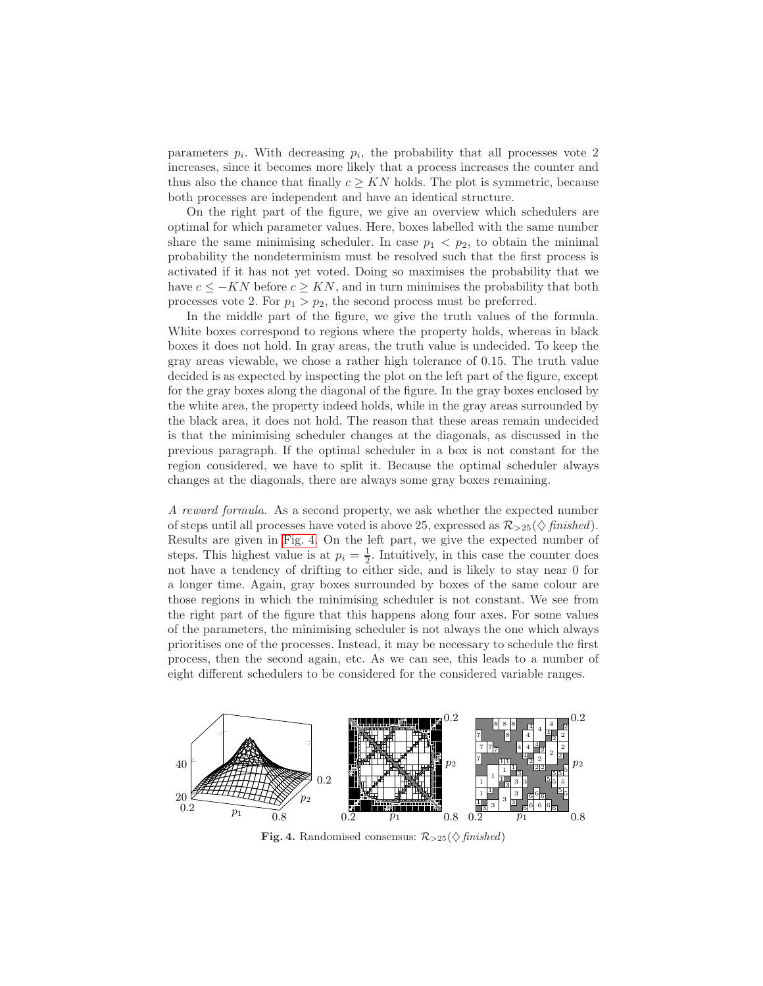parameters  $p_i$ . With decreasing  $p_i$ , the probability that all processes vote 2 increases, since it becomes more likely that a process increases the counter and thus also the chance that finally  $c \geq KN$  holds. The plot is symmetric, because both processes are independent and have an identical structure.

On the right part of the figure, we give an overview which schedulers are optimal for which parameter values. Here, boxes labelled with the same number share the same minimising scheduler. In case  $p_1 < p_2$ , to obtain the minimal probability the nondeterminism must be resolved such that the first process is activated if it has not yet voted. Doing so maximises the probability that we have  $c \leq -KN$  before  $c \geq KN$ , and in turn minimises the probability that both processes vote 2. For  $p_1 > p_2$ , the second process must be preferred.

In the middle part of the figure, we give the truth values of the formula. White boxes correspond to regions where the property holds, whereas in black boxes it does not hold. In gray areas, the truth value is undecided. To keep the gray areas viewable, we chose a rather high tolerance of 0.15. The truth value decided is as expected by inspecting the plot on the left part of the figure, except for the gray boxes along the diagonal of the figure. In the gray boxes enclosed by the white area, the property indeed holds, while in the gray areas surrounded by the black area, it does not hold. The reason that these areas remain undecided is that the minimising scheduler changes at the diagonals, as discussed in the previous paragraph. If the optimal scheduler in a box is not constant for the region considered, we have to split it. Because the optimal scheduler always changes at the diagonals, there are always some gray boxes remaining.

A reward formula. As a second property, we ask whether the expected number of steps until all processes have voted is above 25, expressed as  $\mathcal{R}_{>25}(\diamondsuit$  finished). Results are given in [Fig. 4.](#page-12-0) On the left part, we give the expected number of steps. This highest value is at  $p_i = \frac{1}{2}$ . Intuitively, in this case the counter does not have a tendency of drifting to either side, and is likely to stay near 0 for a longer time. Again, gray boxes surrounded by boxes of the same colour are those regions in which the minimising scheduler is not constant. We see from the right part of the figure that this happens along four axes. For some values of the parameters, the minimising scheduler is not always the one which always prioritises one of the processes. Instead, it may be necessary to schedule the first process, then the second again, etc. As we can see, this leads to a number of eight different schedulers to be considered for the considered variable ranges.

<span id="page-12-0"></span>

**Fig. 4.** Randomised consensus:  $\mathcal{R}_{>25}(\diamondsuit finished)$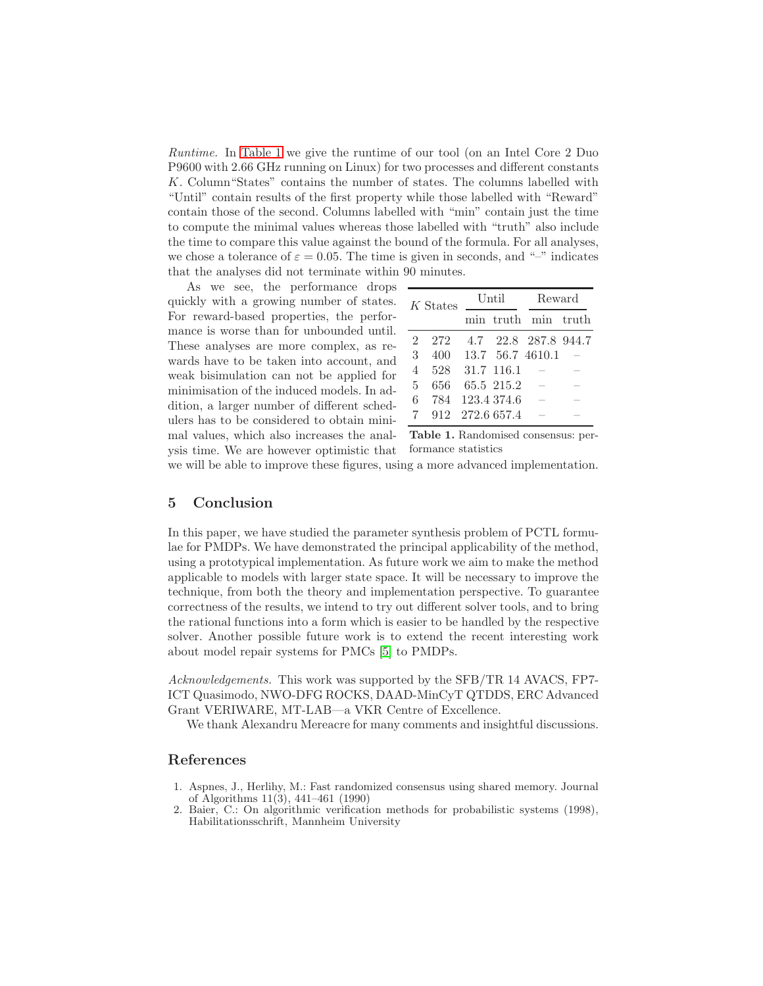Runtime. In [Table 1](#page-13-3) we give the runtime of our tool (on an Intel Core 2 Duo P9600 with 2.66 GHz running on Linux) for two processes and different constants K. Column"States" contains the number of states. The columns labelled with "Until" contain results of the first property while those labelled with "Reward" contain those of the second. Columns labelled with "min" contain just the time to compute the minimal values whereas those labelled with "truth" also include the time to compare this value against the bound of the formula. For all analyses, we chose a tolerance of  $\varepsilon = 0.05$ . The time is given in seconds, and "-" indicates that the analyses did not terminate within 90 minutes.

As we see, the performance drops quickly with a growing number of states. For reward-based properties, the performance is worse than for unbounded until. These analyses are more complex, as rewards have to be taken into account, and weak bisimulation can not be applied for minimisation of the induced models. In addition, a larger number of different schedulers has to be considered to obtain minimal values, which also increases the analysis time. We are however optimistic that

<span id="page-13-3"></span>

|       | $K$ States | Until |                 | Reward               |  |
|-------|------------|-------|-----------------|----------------------|--|
|       |            |       |                 | min truth min truth  |  |
| $2 -$ | 272        |       |                 | 4.7 22.8 287.8 944.7 |  |
| 3     | 400        |       |                 | 13.7 56.7 4610.1     |  |
| 4     | 528        |       | 31.7 116.1      |                      |  |
| 5     | 656        |       | 65.5 215.2      |                      |  |
| 6     | 784        |       | 123.4 374.6     |                      |  |
|       |            |       | 912 272.6 657.4 |                      |  |

Table 1. Randomised consensus: performance statistics

we will be able to improve these figures, using a more advanced implementation.

# <span id="page-13-0"></span>5 Conclusion

In this paper, we have studied the parameter synthesis problem of PCTL formulae for PMDPs. We have demonstrated the principal applicability of the method, using a prototypical implementation. As future work we aim to make the method applicable to models with larger state space. It will be necessary to improve the technique, from both the theory and implementation perspective. To guarantee correctness of the results, we intend to try out different solver tools, and to bring the rational functions into a form which is easier to be handled by the respective solver. Another possible future work is to extend the recent interesting work about model repair systems for PMCs [\[5\]](#page-14-27) to PMDPs.

Acknowledgements. This work was supported by the SFB/TR 14 AVACS, FP7- ICT Quasimodo, NWO-DFG ROCKS, DAAD-MinCyT QTDDS, ERC Advanced Grant VERIWARE, MT-LAB—a VKR Centre of Excellence.

We thank Alexandru Mereacre for many comments and insightful discussions.

# References

- <span id="page-13-2"></span>1. Aspnes, J., Herlihy, M.: Fast randomized consensus using shared memory. Journal of Algorithms 11(3), 441–461 (1990)
- <span id="page-13-1"></span>2. Baier, C.: On algorithmic verification methods for probabilistic systems (1998), Habilitationsschrift, Mannheim University